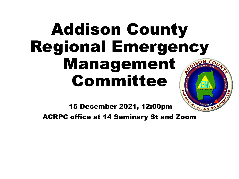## Addison County Regional Emergency Management Committee



15 December 2021, 12:00pm

ACRPC office at 14 Seminary St and Zoom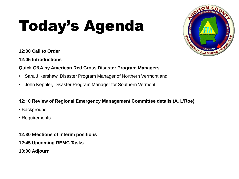# Today's Agenda



#### **12:00 Call to Order**

**12:05 Introductions**

#### **Quick Q&A by American Red Cross Disaster Program Managers**

- Sara J Kershaw, Disaster Program Manager of Northern Vermont and
- John Keppler, Disaster Program Manager for Southern Vermont

#### **12:10 Review of Regional Emergency Management Committee details (A. L'Roe)**

- Background
- Requirements
- **12:30 Elections of interim positions**
- **12:45 Upcoming REMC Tasks**
- **13:00 Adjourn**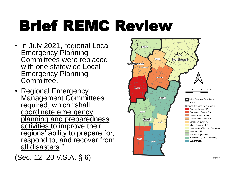# Brief REMC Review

- In July 2021, regional Local **Emergency Planning** Committees were replaced with one statewide Local Emergency Planning Committee.
- Regional Emergency Management Committees required, which "shall coordinate emergency planning and preparedness activities to improve their regions' ability to prepare for, respond to, and recover from all disasters."

(Sec. 12. 20 V.S.A. § 6)

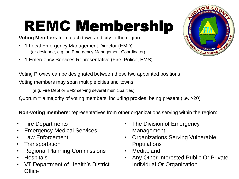# REMC Membership

**Voting Members** from each town and city in the region:

- 1 Local Emergency Management Director (EMD) (or designee, e.g. an Emergency Management Coordinator)
- 1 Emergency Services Representative (Fire, Police, EMS)

Voting Proxies can be designated between these two appointed positions

Voting members may span multiple cities and towns

(e.g. Fire Dept or EMS serving several municipalities)

Quorum = a majority of voting members, including proxies, being present (i.e. >20)

**Non-voting members**: representatives from other organizations serving within the region:

- Fire Departments
- Emergency Medical Services
- Law Enforcement
- Transportation
- Regional Planning Commissions
- Hospitals
- VT Department of Health's District **Office**
- The Division of Emergency Management
- Organizations Serving Vulnerable **Populations**
- Media, and
- Any Other Interested Public Or Private Individual Or Organization.

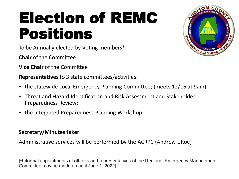## Election of REMC Positions

To be Annually elected by Voting members\*

**Chair** of the Committee

**Vice Chair** of the Committee

**Representatives** to 3 state committees/activities:

- the statewide Local Emergency Planning Committee; (meets 12/16 at 9am)
- Threat and Hazard Identification and Risk Assessment and Stakeholder Preparedness Review;
- the Integrated Preparedness Planning Workshop.

#### **Secretary/Minutes taker**

Administrative services will be performed by the ACRPC (Andrew L'Roe)

[\*Informal appointments of officers and representatives of the Regional Emergency Management Committee may be made up until June 1, 2022]

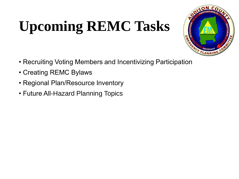## **Upcoming REMC Tasks**



- Recruiting Voting Members and Incentivizing Participation
- Creating REMC Bylaws
- Regional Plan/Resource Inventory
- Future All-Hazard Planning Topics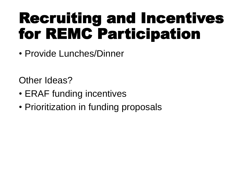### Recruiting and Incentives for REMC Participation

• Provide Lunches/Dinner

Other Ideas?

- ERAF funding incentives
- Prioritization in funding proposals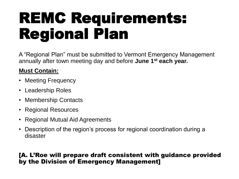## REMC Requirements: Regional Plan

A "Regional Plan" must be submitted to Vermont Emergency Management annually after town meeting day and before **June 1st each year.** 

### **Must Contain:**

- Meeting Frequency
- Leadership Roles
- Membership Contacts
- Regional Resources
- Regional Mutual Aid Agreements
- Description of the region's process for regional coordination during a disaster

#### [A. L'Roe will prepare draft consistent with guidance provided by the Division of Emergency Management]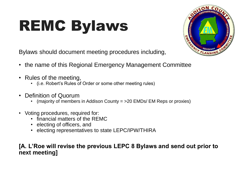# REMC Bylaws



Bylaws should document meeting procedures including,

- the name of this Regional Emergency Management Committee
- Rules of the meeting,
	- (i.e. Robert's Rules of Order or some other meeting rules)
- Definition of Quorum
	- (majority of members in Addison County  $=$  >20 EMDs/ EM Reps or proxies)
- Voting procedures, required for:
	- financial matters of the REMC
	- electing of officers, and
	- electing representatives to state LEPC/IPW/THIRA

#### **[A. L'Roe will revise the previous LEPC 8 Bylaws and send out prior to next meeting]**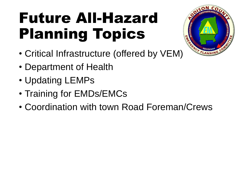## Future All-Hazard Planning Topics



- Critical Infrastructure (offered by VEM)
- Department of Health
- Updating LEMPs
- Training for EMDs/EMCs
- Coordination with town Road Foreman/Crews